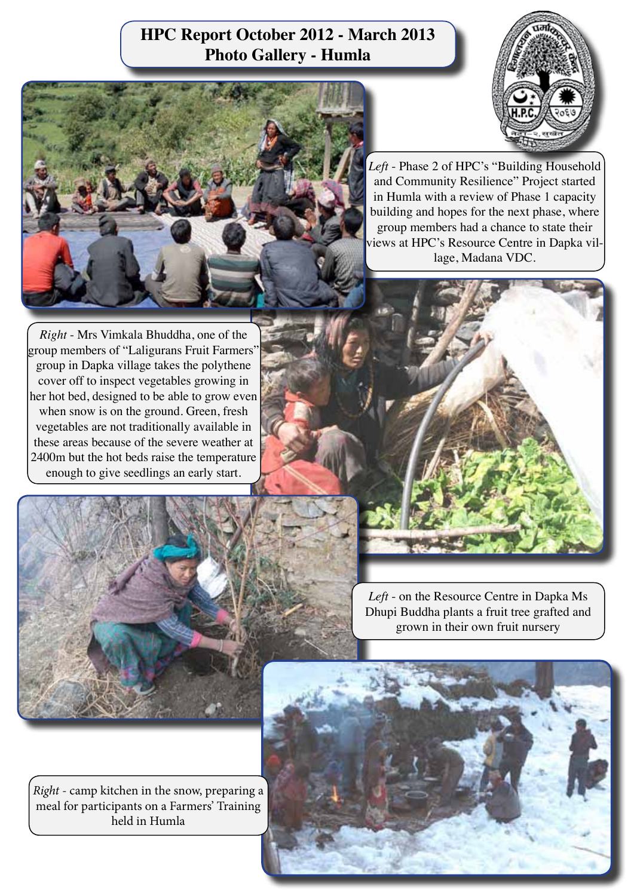## **HPC Report October 2012 - March 2013 Photo Gallery - Humla**



*Left* - Phase 2 of HPC's "Building Household and Community Resilience" Project started in Humla with a review of Phase 1 capacity building and hopes for the next phase, where group members had a chance to state their views at HPC's Resource Centre in Dapka village, Madana VDC.

*Right* - Mrs Vimkala Bhuddha, one of the group members of "Laligurans Fruit Farmers" group in Dapka village takes the polythene cover off to inspect vegetables growing in her hot bed, designed to be able to grow even when snow is on the ground. Green, fresh vegetables are not traditionally available in these areas because of the severe weather at 2400m but the hot beds raise the temperature enough to give seedlings an early start.



*Right* - camp kitchen in the snow, preparing a meal for participants on a Farmers' Training held in Humla

*Left* - on the Resource Centre in Dapka Ms

Dhupi Buddha plants a fruit tree grafted and grown in their own fruit nursery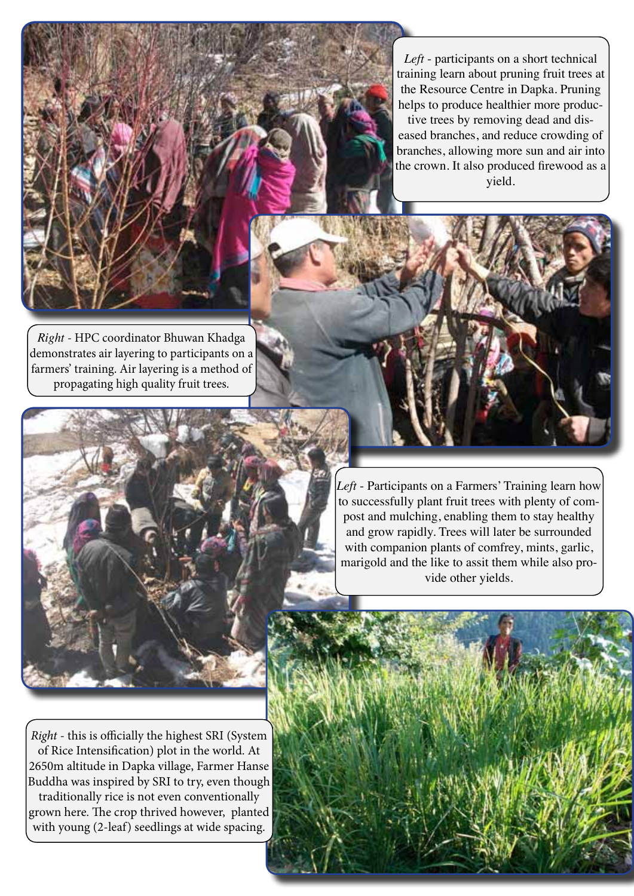*Left* - participants on a short technical training learn about pruning fruit trees at the Resource Centre in Dapka. Pruning helps to produce healthier more productive trees by removing dead and diseased branches, and reduce crowding of

branches, allowing more sun and air into the crown. It also produced firewood as a yield.

*Right* - HPC coordinator Bhuwan Khadga demonstrates air layering to participants on a farmers' training. Air layering is a method of propagating high quality fruit trees.



*Left* - Participants on a Farmers' Training learn how to successfully plant fruit trees with plenty of compost and mulching, enabling them to stay healthy and grow rapidly. Trees will later be surrounded with companion plants of comfrey, mints, garlic, marigold and the like to assit them while also provide other yields.

*Right* - this is officially the highest SRI (System of Rice Intensification) plot in the world. At 2650m altitude in Dapka village, Farmer Hanse Buddha was inspired by SRI to try, even though traditionally rice is not even conventionally grown here. The crop thrived however, planted with young (2-leaf) seedlings at wide spacing.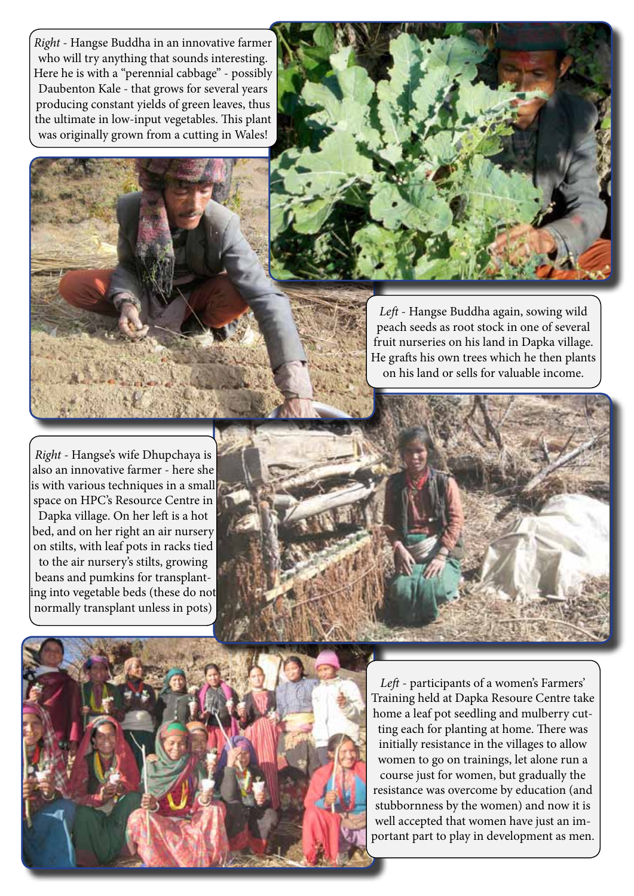*Right* - Hangse Buddha in an innovative farmer who will try anything that sounds interesting. Here he is with a "perennial cabbage" - possibly Daubenton Kale - that grows for several years producing constant yields of green leaves, thus the ultimate in low-input vegetables. This plant was originally grown from a cutting in Wales!





*Left* - Hangse Buddha again, sowing wild peach seeds as root stock in one of several fruit nurseries on his land in Dapka village. He grafts his own trees which he then plants on his land or sells for valuable income.

*Right* - Hangse's wife Dhupchaya is also an innovative farmer - here she is with various techniques in a small space on HPC's Resource Centre in Dapka village. On her left is a hot bed, and on her right an air nursery on stilts, with leaf pots in racks tied to the air nursery's stilts, growing beans and pumkins for transplanting into vegetable beds (these do not normally transplant unless in pots)





*Left* - participants of a women's Farmers' Training held at Dapka Resoure Centre take home a leaf pot seedling and mulberry cutting each for planting at home. There was initially resistance in the villages to allow women to go on trainings, let alone run a course just for women, but gradually the resistance was overcome by education (and stubbornness by the women) and now it is well accepted that women have just an important part to play in development as men.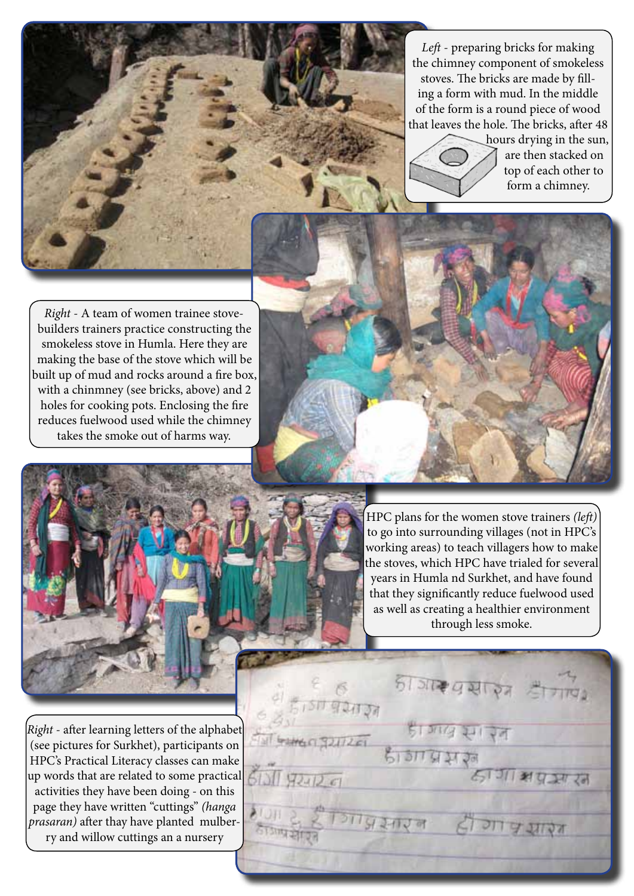*Left* - preparing bricks for making the chimney component of smokeless stoves. The bricks are made by filling a form with mud. In the middle of the form is a round piece of wood that leaves the hole. The bricks, after 48



hours drying in the sun, are then stacked on top of each other to form a chimney.

*Right* - A team of women trainee stovebuilders trainers practice constructing the smokeless stove in Humla. Here they are making the base of the stove which will be built up of mud and rocks around a fire box, with a chinmney (see bricks, above) and 2 holes for cooking pots. Enclosing the fire reduces fuelwood used while the chimney takes the smoke out of harms way.



**WI GAME C SOUTZEL** 

 $613119741201$ 

HPC plans for the women stove trainers *(left)* to go into surrounding villages (not in HPC's working areas) to teach villagers how to make the stoves, which HPC have trialed for several years in Humla nd Surkhet, and have found that they significantly reduce fuelwood used as well as creating a healthier environment through less smoke.

हे हैंगिया प्रसरन ही गा प्रथारत

जा अप्रकारन

*Right* - after learning letters of the alphabet (see pictures for Surkhet), participants on HPC's Practical Literacy classes can make up words that are related to some practical activities they have been doing - on this page they have written "cuttings" *(hanga prasaran)* after thay have planted mulberry and willow cuttings an a nursery